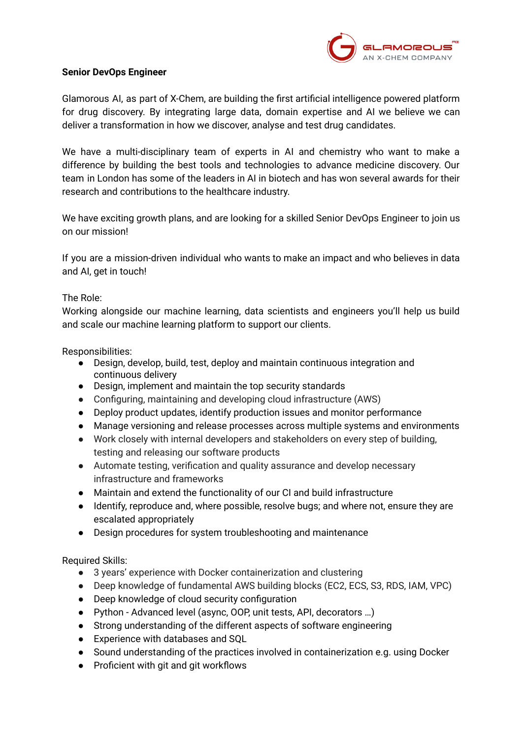

## **Senior DevOps Engineer**

Glamorous AI, as part of X-Chem, are building the first artificial intelligence powered platform for drug discovery. By integrating large data, domain expertise and AI we believe we can deliver a transformation in how we discover, analyse and test drug candidates.

We have a multi-disciplinary team of experts in AI and chemistry who want to make a difference by building the best tools and technologies to advance medicine discovery. Our team in London has some of the leaders in AI in biotech and has won several awards for their research and contributions to the healthcare industry.

We have exciting growth plans, and are looking for a skilled Senior DevOps Engineer to join us on our mission!

If you are a mission-driven individual who wants to make an impact and who believes in data and AI, get in touch!

## The Role:

Working alongside our machine learning, data scientists and engineers you'll help us build and scale our machine learning platform to support our clients.

Responsibilities:

- Design, develop, build, test, deploy and maintain continuous integration and continuous delivery
- Design, implement and maintain the top security standards
- Configuring, maintaining and developing cloud infrastructure (AWS)
- Deploy product updates, identify production issues and monitor performance
- Manage versioning and release processes across multiple systems and environments
- Work closely with internal developers and stakeholders on every step of building, testing and releasing our software products
- Automate testing, verification and quality assurance and develop necessary infrastructure and frameworks
- Maintain and extend the functionality of our CI and build infrastructure
- Identify, reproduce and, where possible, resolve bugs; and where not, ensure they are escalated appropriately
- Design procedures for system troubleshooting and maintenance

Required Skills:

- 3 years' experience with Docker containerization and clustering
- Deep knowledge of fundamental AWS building blocks (EC2, ECS, S3, RDS, IAM, VPC)
- Deep knowledge of cloud security configuration
- Python Advanced level (async, OOP, unit tests, API, decorators …)
- Strong understanding of the different aspects of software engineering
- Experience with databases and SQL
- Sound understanding of the practices involved in containerization e.g. using Docker
- Proficient with git and git workflows